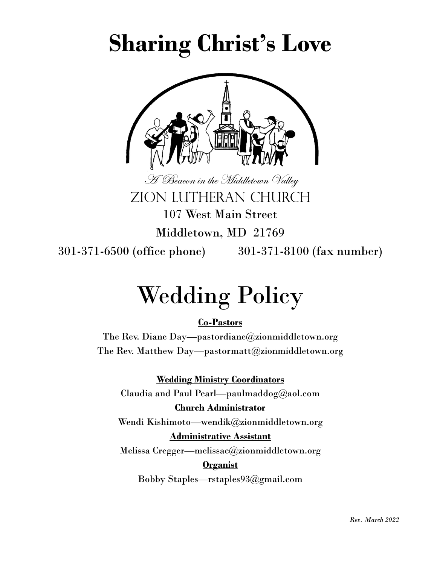# **Sharing Christ's Love**



A Beacon in the Middletown Valley Zion LUTHERAN CHURCH 107 West Main Street

Middletown, MD 21769

301-371-6500 (office phone) 301-371-8100 (fax number)

# Wedding Policy

#### **Co-Pastors**

The Rev. Diane Day—pastordiane@zionmiddletown.org The Rev. Matthew Day—pastormatt@zionmiddletown.org

#### **Wedding Ministry Coordinators**

Claudia and Paul Pearl—paulmaddog@aol.com **Church Administrator**

Wendi Kishimoto—wendik@zionmiddletown.org

#### **Administrative Assistant**

Melissa Cregger—melissac@zionmiddletown.org

#### **Organist**

Bobby Staples—rstaples93@gmail.com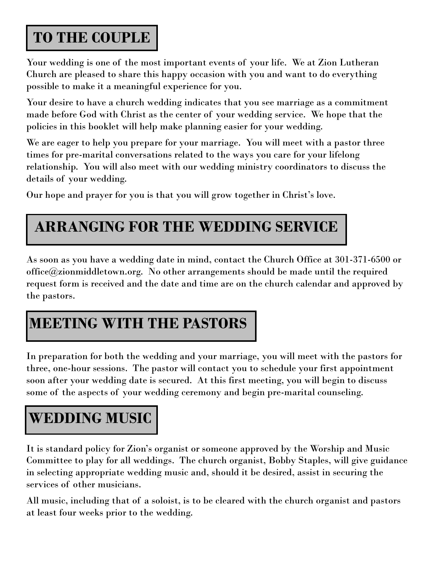#### **TO THE COUPLE**

Your wedding is one of the most important events of your life. We at Zion Lutheran Church are pleased to share this happy occasion with you and want to do everything possible to make it a meaningful experience for you.

Your desire to have a church wedding indicates that you see marriage as a commitment made before God with Christ as the center of your wedding service. We hope that the policies in this booklet will help make planning easier for your wedding.

We are eager to help you prepare for your marriage. You will meet with a pastor three times for pre-marital conversations related to the ways you care for your lifelong relationship. You will also meet with our wedding ministry coordinators to discuss the details of your wedding.

Our hope and prayer for you is that you will grow together in Christ's love.

### **ARRANGING FOR THE WEDDING SERVICE**

As soon as you have a wedding date in mind, contact the Church Office at 301-371-6500 or office@zionmiddletown.org. No other arrangements should be made until the required request form is received and the date and time are on the church calendar and approved by the pastors.

#### **MEETING WITH THE PASTORS**

In preparation for both the wedding and your marriage, you will meet with the pastors for three, one-hour sessions. The pastor will contact you to schedule your first appointment soon after your wedding date is secured. At this first meeting, you will begin to discuss some of the aspects of your wedding ceremony and begin pre-marital counseling.

### **WEDDING MUSIC**

It is standard policy for Zion's organist or someone approved by the Worship and Music Committee to play for all weddings. The church organist, Bobby Staples, will give guidance in selecting appropriate wedding music and, should it be desired, assist in securing the services of other musicians.

All music, including that of a soloist, is to be cleared with the church organist and pastors at least four weeks prior to the wedding.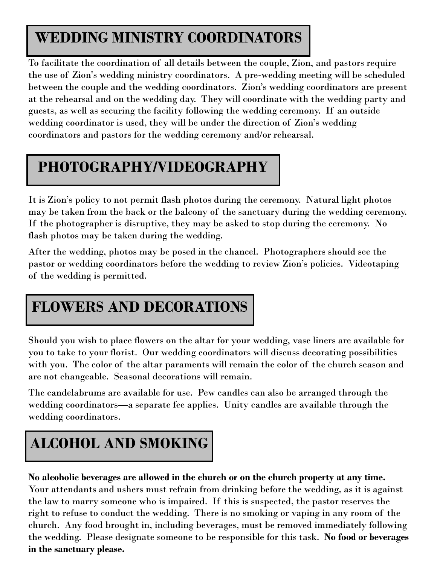### **WEDDING MINISTRY COORDINATORS**

To facilitate the coordination of all details between the couple, Zion, and pastors require the use of Zion's wedding ministry coordinators. A pre-wedding meeting will be scheduled between the couple and the wedding coordinators. Zion's wedding coordinators are present at the rehearsal and on the wedding day. They will coordinate with the wedding party and guests, as well as securing the facility following the wedding ceremony. If an outside wedding coordinator is used, they will be under the direction of Zion's wedding coordinators and pastors for the wedding ceremony and/or rehearsal.

### **PHOTOGRAPHY/VIDEOGRAPHY**

It is Zion's policy to not permit flash photos during the ceremony. Natural light photos may be taken from the back or the balcony of the sanctuary during the wedding ceremony. If the photographer is disruptive, they may be asked to stop during the ceremony. No flash photos may be taken during the wedding.

After the wedding, photos may be posed in the chancel. Photographers should see the pastor or wedding coordinators before the wedding to review Zion's policies. Videotaping of the wedding is permitted.

#### **FLOWERS AND DECORATIONS**

Should you wish to place flowers on the altar for your wedding, vase liners are available for you to take to your florist. Our wedding coordinators will discuss decorating possibilities with you. The color of the altar paraments will remain the color of the church season and are not changeable. Seasonal decorations will remain.

The candelabrums are available for use. Pew candles can also be arranged through the wedding coordinators—a separate fee applies. Unity candles are available through the wedding coordinators.

## **ALCOHOL AND SMOKING**

**No alcoholic beverages are allowed in the church or on the church property at any time.**  Your attendants and ushers must refrain from drinking before the wedding, as it is against the law to marry someone who is impaired. If this is suspected, the pastor reserves the right to refuse to conduct the wedding. There is no smoking or vaping in any room of the church. Any food brought in, including beverages, must be removed immediately following the wedding. Please designate someone to be responsible for this task. **No food or beverages in the sanctuary please.**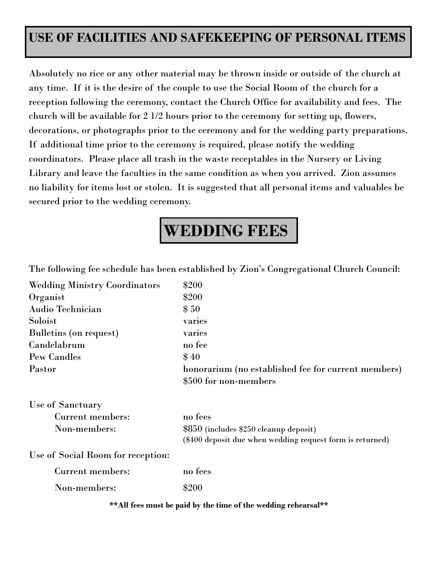#### **USE OF FACILITIES AND SAFEKEEPING OF PERSONAL ITEMS**

Absolutely no rice or any other material may be thrown inside or outside of the church at any time. If it is the desire of the couple to use the Social Room of the church for a reception following the ceremony, contact the Church Office for availability and fees. The church will be available for 2 1/2 hours prior to the ceremony for setting up, flowers, decorations, or photographs prior to the ceremony and for the wedding party preparations. If additional time prior to the ceremony is required, please notify the wedding coordinators. Please place all trash in the waste receptables in the Nursery or Living Library and leave the faculties in the same condition as when you arrived. Zion assumes no liability for items lost or stolen. It is suggested that all personal items and valuables be secured prior to the wedding ceremony.

## **WEDDING FEES**

The following fee schedule has been established by Zion's Congregational Church Council:

| <b>Wedding Ministry Coordinators</b> | \$200                                                     |
|--------------------------------------|-----------------------------------------------------------|
| Organist                             | \$200                                                     |
| Audio Technician                     | \$50                                                      |
| Soloist                              | varies                                                    |
| Bulletins (on request)               | varies                                                    |
| Candelabrum                          | no fee                                                    |
| <b>Pew Candles</b>                   | \$40                                                      |
| Pastor                               | honorarium (no established fee for current members)       |
|                                      | \$500 for non-members                                     |
| Use of Sanctuary                     |                                                           |
| Current members:                     | no fees                                                   |
| Non-members:                         | \$850 (includes \$250 cleanup deposit)                    |
|                                      | (\$400 deposit due when wedding request form is returned) |
| Use of Social Room for reception:    |                                                           |
| Current members:                     | no fees                                                   |
| Non-members:                         | \$200                                                     |

**\*\*All fees must be paid by the time of the wedding rehearsal\*\***